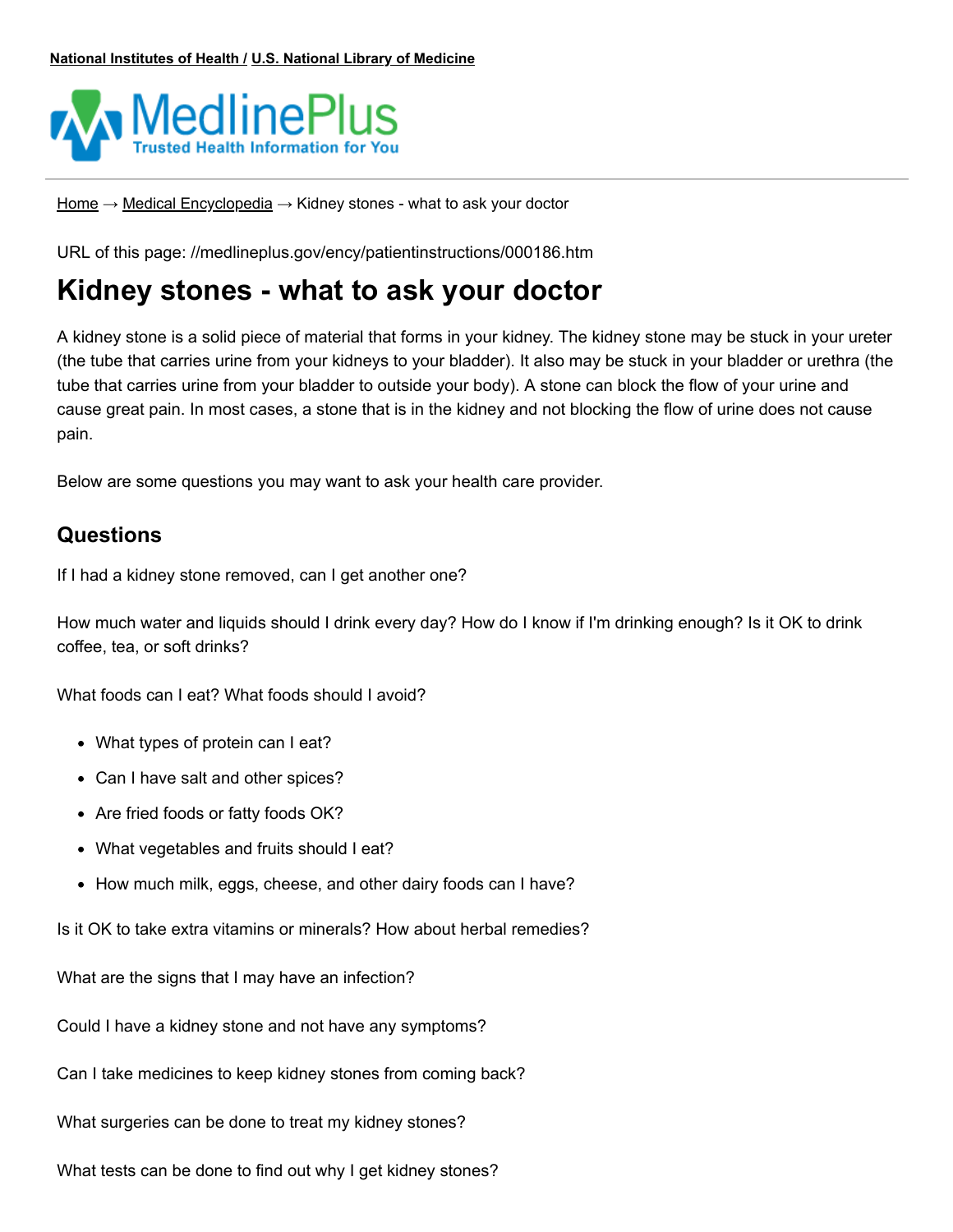

[Home](https://medlineplus.gov/) → Medical [Encyclopedia](https://medlineplus.gov/encyclopedia.html) → Kidney stones - what to ask your doctor

URL of this page: //medlineplus.gov/ency/patientinstructions/000186.htm

# **Kidney stones - what to ask your doctor**

A [kidney](https://medlineplus.gov/ency/article/000458.htm) stone is a solid piece of material that forms in your kidney. The kidney stone may be stuck in your ureter (the tube that carries urine from your kidneys to your bladder). It also may be stuck in your bladder or urethra (the tube that carries urine from your bladder to outside your body). A stone can block the flow of your urine and cause great pain. In most cases, a stone that is in the kidney and not blocking the flow of urine does not cause pain.

Below are some questions you may want to ask your health care provider.

# **Questions**

If I had a kidney stone removed, can I get another one?

How much water and liquids should I drink every day? How do I know if I'm drinking enough? Is it OK to drink coffee, tea, or soft drinks?

What foods can I eat? What foods should I avoid?

- What types of protein can I eat?
- Can I have salt and other spices?
- Are fried foods or fatty foods OK?
- What vegetables and fruits should I eat?
- How much milk, eggs, cheese, and other dairy foods can I have?

Is it OK to take extra vitamins or minerals? How about herbal remedies?

What are the signs that I may have an infection?

Could I have a kidney stone and not have any symptoms?

Can I take medicines to keep kidney stones from coming back?

What surgeries can be done to treat my kidney stones?

What tests can be done to find out why I get kidney stones?